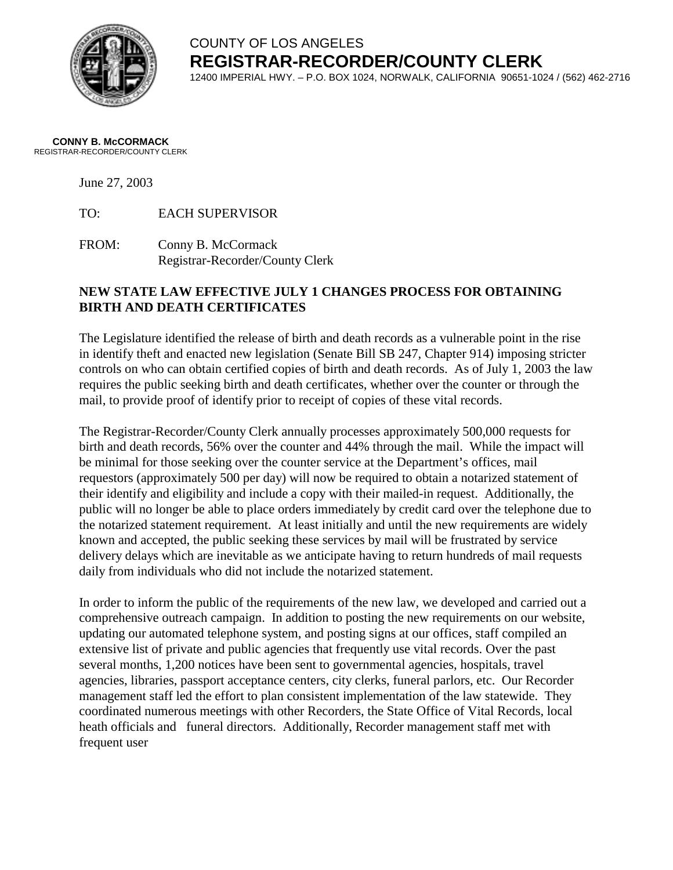

## COUNTY OF LOS ANGELES **REGISTRAR-RECORDER/COUNTY CLERK**

12400 IMPERIAL HWY. – P.O. BOX 1024, NORWALK, CALIFORNIA 90651-1024 / (562) 462-2716

## **CONNY B. McCORMACK** REGISTRAR-RECORDER/COUNTY CLERK

June 27, 2003

TO: EACH SUPERVISOR

FROM: Conny B. McCormack Registrar-Recorder/County Clerk

## **NEW STATE LAW EFFECTIVE JULY 1 CHANGES PROCESS FOR OBTAINING BIRTH AND DEATH CERTIFICATES**

The Legislature identified the release of birth and death records as a vulnerable point in the rise in identify theft and enacted new legislation (Senate Bill SB 247, Chapter 914) imposing stricter controls on who can obtain certified copies of birth and death records. As of July 1, 2003 the law requires the public seeking birth and death certificates, whether over the counter or through the mail, to provide proof of identify prior to receipt of copies of these vital records.

The Registrar-Recorder/County Clerk annually processes approximately 500,000 requests for birth and death records, 56% over the counter and 44% through the mail. While the impact will be minimal for those seeking over the counter service at the Department's offices, mail requestors (approximately 500 per day) will now be required to obtain a notarized statement of their identify and eligibility and include a copy with their mailed-in request. Additionally, the public will no longer be able to place orders immediately by credit card over the telephone due to the notarized statement requirement. At least initially and until the new requirements are widely known and accepted, the public seeking these services by mail will be frustrated by service delivery delays which are inevitable as we anticipate having to return hundreds of mail requests daily from individuals who did not include the notarized statement.

In order to inform the public of the requirements of the new law, we developed and carried out a comprehensive outreach campaign. In addition to posting the new requirements on our website, updating our automated telephone system, and posting signs at our offices, staff compiled an extensive list of private and public agencies that frequently use vital records. Over the past several months, 1,200 notices have been sent to governmental agencies, hospitals, travel agencies, libraries, passport acceptance centers, city clerks, funeral parlors, etc. Our Recorder management staff led the effort to plan consistent implementation of the law statewide. They coordinated numerous meetings with other Recorders, the State Office of Vital Records, local heath officials and funeral directors. Additionally, Recorder management staff met with frequent user